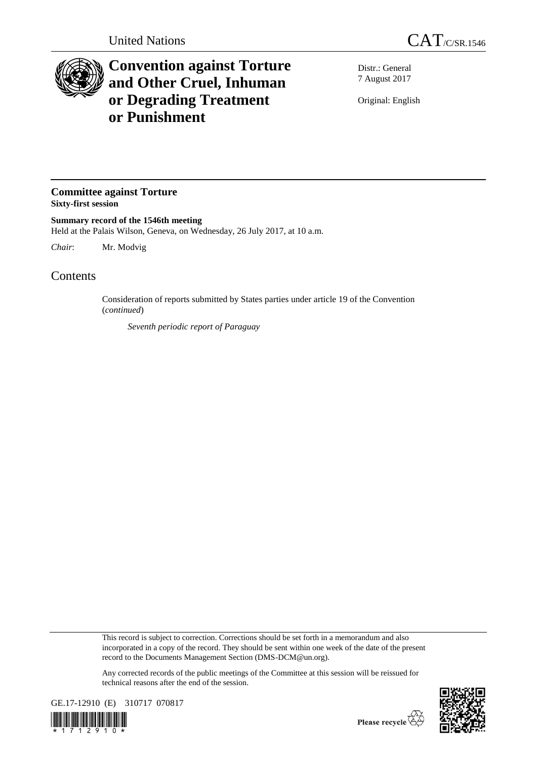

## **Convention against Torture and Other Cruel, Inhuman or Degrading Treatment or Punishment**

Distr.: General 7 August 2017

Original: English

## **Committee against Torture Sixty-first session**

**Summary record of the 1546th meeting** Held at the Palais Wilson, Geneva, on Wednesday, 26 July 2017, at 10 a.m.

*Chair*: Mr. Modvig

## **Contents**

Consideration of reports submitted by States parties under article 19 of the Convention (*continued*)

*Seventh periodic report of Paraguay*

This record is subject to correction. Corrections should be set forth in a memorandum and also incorporated in a copy of the record. They should be sent within one week of the date of the present record to the Documents Management Section (DMS-DCM@un.org).

Any corrected records of the public meetings of the Committee at this session will be reissued for technical reasons after the end of the session.



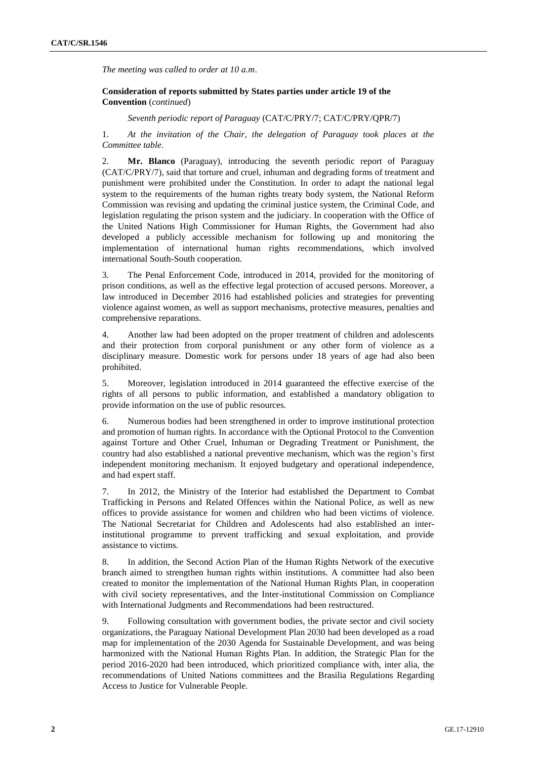*The meeting was called to order at 10 a.m*.

## **Consideration of reports submitted by States parties under article 19 of the Convention** (*continued*)

*Seventh periodic report of Paraguay* (CAT/C/PRY/7; CAT/C/PRY/QPR/7)

1. *At the invitation of the Chair, the delegation of Paraguay took places at the Committee table*.

2. **Mr. Blanco** (Paraguay), introducing the seventh periodic report of Paraguay (CAT/C/PRY/7), said that torture and cruel, inhuman and degrading forms of treatment and punishment were prohibited under the Constitution. In order to adapt the national legal system to the requirements of the human rights treaty body system, the National Reform Commission was revising and updating the criminal justice system, the Criminal Code, and legislation regulating the prison system and the judiciary. In cooperation with the Office of the United Nations High Commissioner for Human Rights, the Government had also developed a publicly accessible mechanism for following up and monitoring the implementation of international human rights recommendations, which involved international South-South cooperation.

3. The Penal Enforcement Code, introduced in 2014, provided for the monitoring of prison conditions, as well as the effective legal protection of accused persons. Moreover, a law introduced in December 2016 had established policies and strategies for preventing violence against women, as well as support mechanisms, protective measures, penalties and comprehensive reparations.

4. Another law had been adopted on the proper treatment of children and adolescents and their protection from corporal punishment or any other form of violence as a disciplinary measure. Domestic work for persons under 18 years of age had also been prohibited.

5. Moreover, legislation introduced in 2014 guaranteed the effective exercise of the rights of all persons to public information, and established a mandatory obligation to provide information on the use of public resources.

6. Numerous bodies had been strengthened in order to improve institutional protection and promotion of human rights. In accordance with the Optional Protocol to the Convention against Torture and Other Cruel, Inhuman or Degrading Treatment or Punishment, the country had also established a national preventive mechanism, which was the region's first independent monitoring mechanism. It enjoyed budgetary and operational independence, and had expert staff.

7. In 2012, the Ministry of the Interior had established the Department to Combat Trafficking in Persons and Related Offences within the National Police, as well as new offices to provide assistance for women and children who had been victims of violence. The National Secretariat for Children and Adolescents had also established an interinstitutional programme to prevent trafficking and sexual exploitation, and provide assistance to victims.

8. In addition, the Second Action Plan of the Human Rights Network of the executive branch aimed to strengthen human rights within institutions. A committee had also been created to monitor the implementation of the National Human Rights Plan, in cooperation with civil society representatives, and the Inter-institutional Commission on Compliance with International Judgments and Recommendations had been restructured.

9. Following consultation with government bodies, the private sector and civil society organizations, the Paraguay National Development Plan 2030 had been developed as a road map for implementation of the 2030 Agenda for Sustainable Development, and was being harmonized with the National Human Rights Plan. In addition, the Strategic Plan for the period 2016-2020 had been introduced, which prioritized compliance with, inter alia, the recommendations of United Nations committees and the Brasilia Regulations Regarding Access to Justice for Vulnerable People.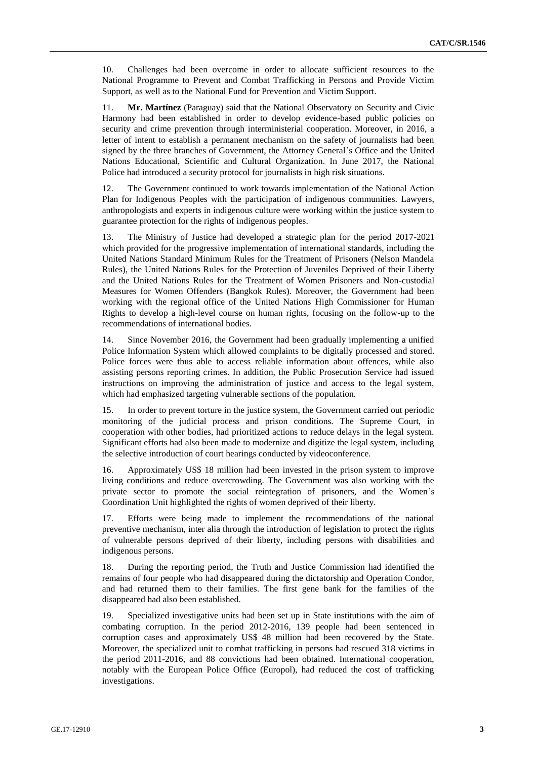10. Challenges had been overcome in order to allocate sufficient resources to the National Programme to Prevent and Combat Trafficking in Persons and Provide Victim Support, as well as to the National Fund for Prevention and Victim Support.

11. **Mr. Martínez** (Paraguay) said that the National Observatory on Security and Civic Harmony had been established in order to develop evidence-based public policies on security and crime prevention through interministerial cooperation. Moreover, in 2016, a letter of intent to establish a permanent mechanism on the safety of journalists had been signed by the three branches of Government, the Attorney General's Office and the United Nations Educational, Scientific and Cultural Organization. In June 2017, the National Police had introduced a security protocol for journalists in high risk situations.

12. The Government continued to work towards implementation of the National Action Plan for Indigenous Peoples with the participation of indigenous communities. Lawyers, anthropologists and experts in indigenous culture were working within the justice system to guarantee protection for the rights of indigenous peoples.

13. The Ministry of Justice had developed a strategic plan for the period 2017-2021 which provided for the progressive implementation of international standards, including the United Nations Standard Minimum Rules for the Treatment of Prisoners (Nelson Mandela Rules), the United Nations Rules for the Protection of Juveniles Deprived of their Liberty and the United Nations Rules for the Treatment of Women Prisoners and Non-custodial Measures for Women Offenders (Bangkok Rules). Moreover, the Government had been working with the regional office of the United Nations High Commissioner for Human Rights to develop a high-level course on human rights, focusing on the follow-up to the recommendations of international bodies.

14. Since November 2016, the Government had been gradually implementing a unified Police Information System which allowed complaints to be digitally processed and stored. Police forces were thus able to access reliable information about offences, while also assisting persons reporting crimes. In addition, the Public Prosecution Service had issued instructions on improving the administration of justice and access to the legal system, which had emphasized targeting vulnerable sections of the population.

15. In order to prevent torture in the justice system, the Government carried out periodic monitoring of the judicial process and prison conditions. The Supreme Court, in cooperation with other bodies, had prioritized actions to reduce delays in the legal system. Significant efforts had also been made to modernize and digitize the legal system, including the selective introduction of court hearings conducted by videoconference.

16. Approximately US\$ 18 million had been invested in the prison system to improve living conditions and reduce overcrowding. The Government was also working with the private sector to promote the social reintegration of prisoners, and the Women's Coordination Unit highlighted the rights of women deprived of their liberty.

17. Efforts were being made to implement the recommendations of the national preventive mechanism, inter alia through the introduction of legislation to protect the rights of vulnerable persons deprived of their liberty, including persons with disabilities and indigenous persons.

18. During the reporting period, the Truth and Justice Commission had identified the remains of four people who had disappeared during the dictatorship and Operation Condor, and had returned them to their families. The first gene bank for the families of the disappeared had also been established.

19. Specialized investigative units had been set up in State institutions with the aim of combating corruption. In the period 2012-2016, 139 people had been sentenced in corruption cases and approximately US\$ 48 million had been recovered by the State. Moreover, the specialized unit to combat trafficking in persons had rescued 318 victims in the period 2011-2016, and 88 convictions had been obtained. International cooperation, notably with the European Police Office (Europol), had reduced the cost of trafficking investigations.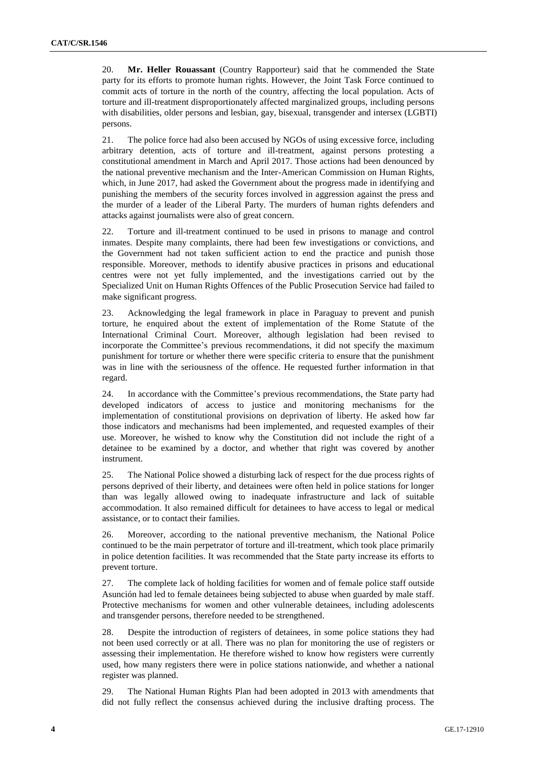20. **Mr. Heller Rouassant** (Country Rapporteur) said that he commended the State party for its efforts to promote human rights. However, the Joint Task Force continued to commit acts of torture in the north of the country, affecting the local population. Acts of torture and ill-treatment disproportionately affected marginalized groups, including persons with disabilities, older persons and lesbian, gay, bisexual, transgender and intersex (LGBTI) persons.

21. The police force had also been accused by NGOs of using excessive force, including arbitrary detention, acts of torture and ill-treatment, against persons protesting a constitutional amendment in March and April 2017. Those actions had been denounced by the national preventive mechanism and the Inter-American Commission on Human Rights, which, in June 2017, had asked the Government about the progress made in identifying and punishing the members of the security forces involved in aggression against the press and the murder of a leader of the Liberal Party. The murders of human rights defenders and attacks against journalists were also of great concern.

22. Torture and ill-treatment continued to be used in prisons to manage and control inmates. Despite many complaints, there had been few investigations or convictions, and the Government had not taken sufficient action to end the practice and punish those responsible. Moreover, methods to identify abusive practices in prisons and educational centres were not yet fully implemented, and the investigations carried out by the Specialized Unit on Human Rights Offences of the Public Prosecution Service had failed to make significant progress.

23. Acknowledging the legal framework in place in Paraguay to prevent and punish torture, he enquired about the extent of implementation of the Rome Statute of the International Criminal Court. Moreover, although legislation had been revised to incorporate the Committee's previous recommendations, it did not specify the maximum punishment for torture or whether there were specific criteria to ensure that the punishment was in line with the seriousness of the offence. He requested further information in that regard.

24. In accordance with the Committee's previous recommendations, the State party had developed indicators of access to justice and monitoring mechanisms for the implementation of constitutional provisions on deprivation of liberty. He asked how far those indicators and mechanisms had been implemented, and requested examples of their use. Moreover, he wished to know why the Constitution did not include the right of a detainee to be examined by a doctor, and whether that right was covered by another instrument.

25. The National Police showed a disturbing lack of respect for the due process rights of persons deprived of their liberty, and detainees were often held in police stations for longer than was legally allowed owing to inadequate infrastructure and lack of suitable accommodation. It also remained difficult for detainees to have access to legal or medical assistance, or to contact their families.

26. Moreover, according to the national preventive mechanism, the National Police continued to be the main perpetrator of torture and ill-treatment, which took place primarily in police detention facilities. It was recommended that the State party increase its efforts to prevent torture.

27. The complete lack of holding facilities for women and of female police staff outside Asunción had led to female detainees being subjected to abuse when guarded by male staff. Protective mechanisms for women and other vulnerable detainees, including adolescents and transgender persons, therefore needed to be strengthened.

28. Despite the introduction of registers of detainees, in some police stations they had not been used correctly or at all. There was no plan for monitoring the use of registers or assessing their implementation. He therefore wished to know how registers were currently used, how many registers there were in police stations nationwide, and whether a national register was planned.

29. The National Human Rights Plan had been adopted in 2013 with amendments that did not fully reflect the consensus achieved during the inclusive drafting process. The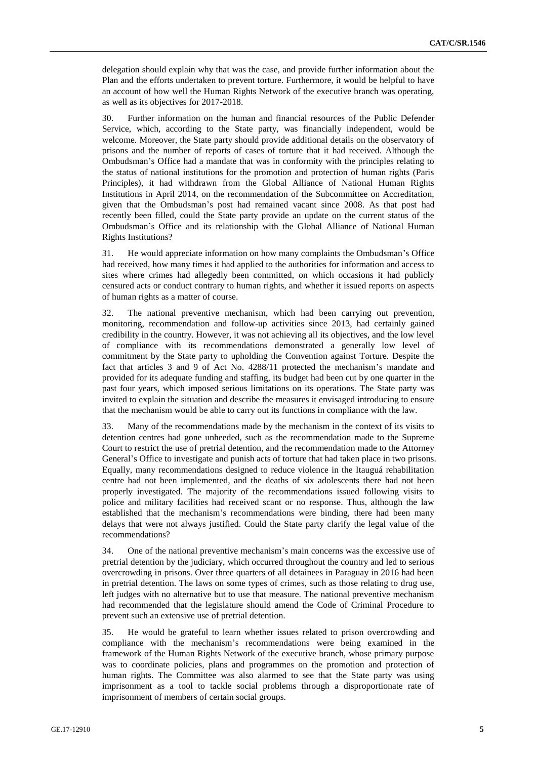delegation should explain why that was the case, and provide further information about the Plan and the efforts undertaken to prevent torture. Furthermore, it would be helpful to have an account of how well the Human Rights Network of the executive branch was operating, as well as its objectives for 2017-2018.

30. Further information on the human and financial resources of the Public Defender Service, which, according to the State party, was financially independent, would be welcome. Moreover, the State party should provide additional details on the observatory of prisons and the number of reports of cases of torture that it had received. Although the Ombudsman's Office had a mandate that was in conformity with the principles relating to the status of national institutions for the promotion and protection of human rights (Paris Principles), it had withdrawn from the Global Alliance of National Human Rights Institutions in April 2014, on the recommendation of the Subcommittee on Accreditation, given that the Ombudsman's post had remained vacant since 2008. As that post had recently been filled, could the State party provide an update on the current status of the Ombudsman's Office and its relationship with the Global Alliance of National Human Rights Institutions?

31. He would appreciate information on how many complaints the Ombudsman's Office had received, how many times it had applied to the authorities for information and access to sites where crimes had allegedly been committed, on which occasions it had publicly censured acts or conduct contrary to human rights, and whether it issued reports on aspects of human rights as a matter of course.

32. The national preventive mechanism, which had been carrying out prevention, monitoring, recommendation and follow-up activities since 2013, had certainly gained credibility in the country. However, it was not achieving all its objectives, and the low level of compliance with its recommendations demonstrated a generally low level of commitment by the State party to upholding the Convention against Torture. Despite the fact that articles 3 and 9 of Act No. 4288/11 protected the mechanism's mandate and provided for its adequate funding and staffing, its budget had been cut by one quarter in the past four years, which imposed serious limitations on its operations. The State party was invited to explain the situation and describe the measures it envisaged introducing to ensure that the mechanism would be able to carry out its functions in compliance with the law.

33. Many of the recommendations made by the mechanism in the context of its visits to detention centres had gone unheeded, such as the recommendation made to the Supreme Court to restrict the use of pretrial detention, and the recommendation made to the Attorney General's Office to investigate and punish acts of torture that had taken place in two prisons. Equally, many recommendations designed to reduce violence in the Itauguá rehabilitation centre had not been implemented, and the deaths of six adolescents there had not been properly investigated. The majority of the recommendations issued following visits to police and military facilities had received scant or no response. Thus, although the law established that the mechanism's recommendations were binding, there had been many delays that were not always justified. Could the State party clarify the legal value of the recommendations?

34. One of the national preventive mechanism's main concerns was the excessive use of pretrial detention by the judiciary, which occurred throughout the country and led to serious overcrowding in prisons. Over three quarters of all detainees in Paraguay in 2016 had been in pretrial detention. The laws on some types of crimes, such as those relating to drug use, left judges with no alternative but to use that measure. The national preventive mechanism had recommended that the legislature should amend the Code of Criminal Procedure to prevent such an extensive use of pretrial detention.

35. He would be grateful to learn whether issues related to prison overcrowding and compliance with the mechanism's recommendations were being examined in the framework of the Human Rights Network of the executive branch, whose primary purpose was to coordinate policies, plans and programmes on the promotion and protection of human rights. The Committee was also alarmed to see that the State party was using imprisonment as a tool to tackle social problems through a disproportionate rate of imprisonment of members of certain social groups.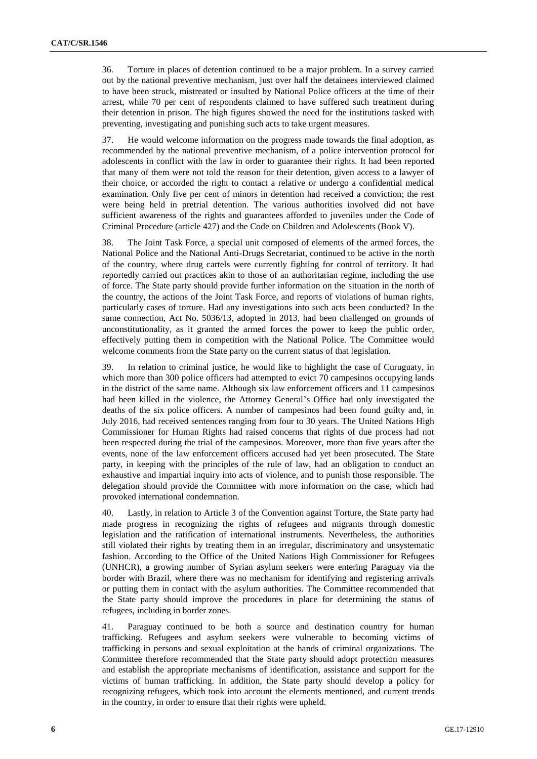36. Torture in places of detention continued to be a major problem. In a survey carried out by the national preventive mechanism, just over half the detainees interviewed claimed to have been struck, mistreated or insulted by National Police officers at the time of their arrest, while 70 per cent of respondents claimed to have suffered such treatment during their detention in prison. The high figures showed the need for the institutions tasked with preventing, investigating and punishing such acts to take urgent measures.

37. He would welcome information on the progress made towards the final adoption, as recommended by the national preventive mechanism, of a police intervention protocol for adolescents in conflict with the law in order to guarantee their rights. It had been reported that many of them were not told the reason for their detention, given access to a lawyer of their choice, or accorded the right to contact a relative or undergo a confidential medical examination. Only five per cent of minors in detention had received a conviction; the rest were being held in pretrial detention. The various authorities involved did not have sufficient awareness of the rights and guarantees afforded to juveniles under the Code of Criminal Procedure (article 427) and the Code on Children and Adolescents (Book V).

38. The Joint Task Force, a special unit composed of elements of the armed forces, the National Police and the National Anti-Drugs Secretariat, continued to be active in the north of the country, where drug cartels were currently fighting for control of territory. It had reportedly carried out practices akin to those of an authoritarian regime, including the use of force. The State party should provide further information on the situation in the north of the country, the actions of the Joint Task Force, and reports of violations of human rights, particularly cases of torture. Had any investigations into such acts been conducted? In the same connection, Act No. 5036/13, adopted in 2013, had been challenged on grounds of unconstitutionality, as it granted the armed forces the power to keep the public order, effectively putting them in competition with the National Police. The Committee would welcome comments from the State party on the current status of that legislation.

39. In relation to criminal justice, he would like to highlight the case of Curuguaty, in which more than 300 police officers had attempted to evict 70 campesinos occupying lands in the district of the same name. Although six law enforcement officers and 11 campesinos had been killed in the violence, the Attorney General's Office had only investigated the deaths of the six police officers. A number of campesinos had been found guilty and, in July 2016, had received sentences ranging from four to 30 years. The United Nations High Commissioner for Human Rights had raised concerns that rights of due process had not been respected during the trial of the campesinos. Moreover, more than five years after the events, none of the law enforcement officers accused had yet been prosecuted. The State party, in keeping with the principles of the rule of law, had an obligation to conduct an exhaustive and impartial inquiry into acts of violence, and to punish those responsible. The delegation should provide the Committee with more information on the case, which had provoked international condemnation.

40. Lastly, in relation to Article 3 of the Convention against Torture, the State party had made progress in recognizing the rights of refugees and migrants through domestic legislation and the ratification of international instruments. Nevertheless, the authorities still violated their rights by treating them in an irregular, discriminatory and unsystematic fashion. According to the Office of the United Nations High Commissioner for Refugees (UNHCR), a growing number of Syrian asylum seekers were entering Paraguay via the border with Brazil, where there was no mechanism for identifying and registering arrivals or putting them in contact with the asylum authorities. The Committee recommended that the State party should improve the procedures in place for determining the status of refugees, including in border zones.

41. Paraguay continued to be both a source and destination country for human trafficking. Refugees and asylum seekers were vulnerable to becoming victims of trafficking in persons and sexual exploitation at the hands of criminal organizations. The Committee therefore recommended that the State party should adopt protection measures and establish the appropriate mechanisms of identification, assistance and support for the victims of human trafficking. In addition, the State party should develop a policy for recognizing refugees, which took into account the elements mentioned, and current trends in the country, in order to ensure that their rights were upheld.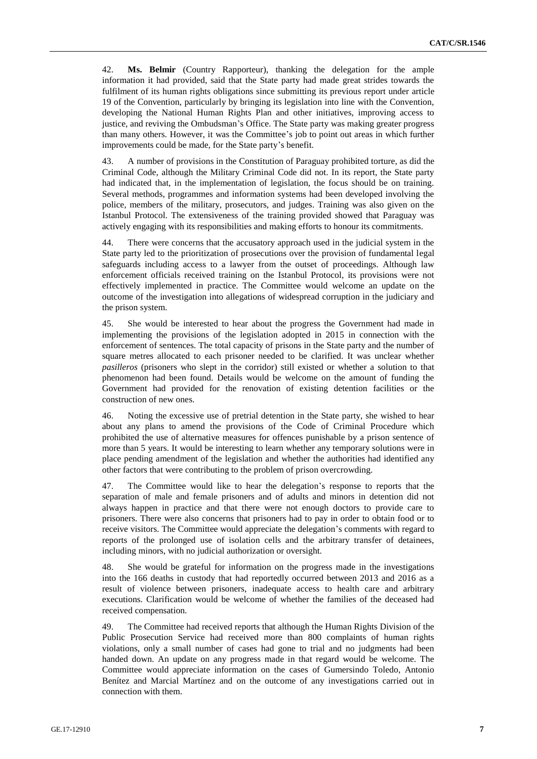42. **Ms. Belmir** (Country Rapporteur), thanking the delegation for the ample information it had provided, said that the State party had made great strides towards the fulfilment of its human rights obligations since submitting its previous report under article 19 of the Convention, particularly by bringing its legislation into line with the Convention, developing the National Human Rights Plan and other initiatives, improving access to justice, and reviving the Ombudsman's Office. The State party was making greater progress than many others. However, it was the Committee's job to point out areas in which further improvements could be made, for the State party's benefit.

43. A number of provisions in the Constitution of Paraguay prohibited torture, as did the Criminal Code, although the Military Criminal Code did not. In its report, the State party had indicated that, in the implementation of legislation, the focus should be on training. Several methods, programmes and information systems had been developed involving the police, members of the military, prosecutors, and judges. Training was also given on the Istanbul Protocol. The extensiveness of the training provided showed that Paraguay was actively engaging with its responsibilities and making efforts to honour its commitments.

44. There were concerns that the accusatory approach used in the judicial system in the State party led to the prioritization of prosecutions over the provision of fundamental legal safeguards including access to a lawyer from the outset of proceedings. Although law enforcement officials received training on the Istanbul Protocol, its provisions were not effectively implemented in practice. The Committee would welcome an update on the outcome of the investigation into allegations of widespread corruption in the judiciary and the prison system.

45. She would be interested to hear about the progress the Government had made in implementing the provisions of the legislation adopted in 2015 in connection with the enforcement of sentences. The total capacity of prisons in the State party and the number of square metres allocated to each prisoner needed to be clarified. It was unclear whether *pasilleros* (prisoners who slept in the corridor) still existed or whether a solution to that phenomenon had been found. Details would be welcome on the amount of funding the Government had provided for the renovation of existing detention facilities or the construction of new ones.

46. Noting the excessive use of pretrial detention in the State party, she wished to hear about any plans to amend the provisions of the Code of Criminal Procedure which prohibited the use of alternative measures for offences punishable by a prison sentence of more than 5 years. It would be interesting to learn whether any temporary solutions were in place pending amendment of the legislation and whether the authorities had identified any other factors that were contributing to the problem of prison overcrowding.

47. The Committee would like to hear the delegation's response to reports that the separation of male and female prisoners and of adults and minors in detention did not always happen in practice and that there were not enough doctors to provide care to prisoners. There were also concerns that prisoners had to pay in order to obtain food or to receive visitors. The Committee would appreciate the delegation's comments with regard to reports of the prolonged use of isolation cells and the arbitrary transfer of detainees, including minors, with no judicial authorization or oversight.

48. She would be grateful for information on the progress made in the investigations into the 166 deaths in custody that had reportedly occurred between 2013 and 2016 as a result of violence between prisoners, inadequate access to health care and arbitrary executions. Clarification would be welcome of whether the families of the deceased had received compensation.

49. The Committee had received reports that although the Human Rights Division of the Public Prosecution Service had received more than 800 complaints of human rights violations, only a small number of cases had gone to trial and no judgments had been handed down. An update on any progress made in that regard would be welcome. The Committee would appreciate information on the cases of Gumersindo Toledo, Antonio Benítez and Marcial Martínez and on the outcome of any investigations carried out in connection with them.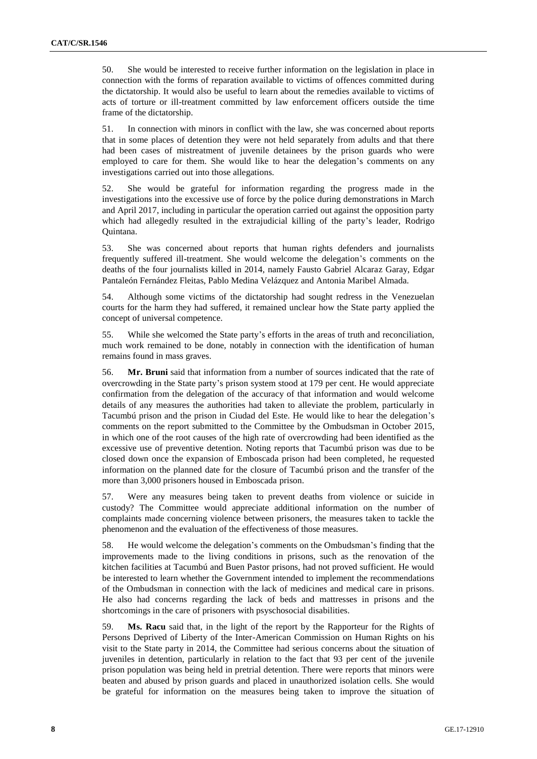50. She would be interested to receive further information on the legislation in place in connection with the forms of reparation available to victims of offences committed during the dictatorship. It would also be useful to learn about the remedies available to victims of acts of torture or ill-treatment committed by law enforcement officers outside the time frame of the dictatorship.

51. In connection with minors in conflict with the law, she was concerned about reports that in some places of detention they were not held separately from adults and that there had been cases of mistreatment of juvenile detainees by the prison guards who were employed to care for them. She would like to hear the delegation's comments on any investigations carried out into those allegations.

52. She would be grateful for information regarding the progress made in the investigations into the excessive use of force by the police during demonstrations in March and April 2017, including in particular the operation carried out against the opposition party which had allegedly resulted in the extrajudicial killing of the party's leader, Rodrigo Quintana.

53. She was concerned about reports that human rights defenders and journalists frequently suffered ill-treatment. She would welcome the delegation's comments on the deaths of the four journalists killed in 2014, namely Fausto Gabriel Alcaraz Garay, Edgar Pantaleón Fernández Fleitas, Pablo Medina Velázquez and Antonia Maribel Almada.

54. Although some victims of the dictatorship had sought redress in the Venezuelan courts for the harm they had suffered, it remained unclear how the State party applied the concept of universal competence.

55. While she welcomed the State party's efforts in the areas of truth and reconciliation, much work remained to be done, notably in connection with the identification of human remains found in mass graves.

56. **Mr. Bruni** said that information from a number of sources indicated that the rate of overcrowding in the State party's prison system stood at 179 per cent. He would appreciate confirmation from the delegation of the accuracy of that information and would welcome details of any measures the authorities had taken to alleviate the problem, particularly in Tacumbú prison and the prison in Ciudad del Este. He would like to hear the delegation's comments on the report submitted to the Committee by the Ombudsman in October 2015, in which one of the root causes of the high rate of overcrowding had been identified as the excessive use of preventive detention. Noting reports that Tacumbú prison was due to be closed down once the expansion of Emboscada prison had been completed, he requested information on the planned date for the closure of Tacumbú prison and the transfer of the more than 3,000 prisoners housed in Emboscada prison.

57. Were any measures being taken to prevent deaths from violence or suicide in custody? The Committee would appreciate additional information on the number of complaints made concerning violence between prisoners, the measures taken to tackle the phenomenon and the evaluation of the effectiveness of those measures.

58. He would welcome the delegation's comments on the Ombudsman's finding that the improvements made to the living conditions in prisons, such as the renovation of the kitchen facilities at Tacumbú and Buen Pastor prisons, had not proved sufficient. He would be interested to learn whether the Government intended to implement the recommendations of the Ombudsman in connection with the lack of medicines and medical care in prisons. He also had concerns regarding the lack of beds and mattresses in prisons and the shortcomings in the care of prisoners with psyschosocial disabilities.

59. **Ms. Racu** said that, in the light of the report by the Rapporteur for the Rights of Persons Deprived of Liberty of the Inter-American Commission on Human Rights on his visit to the State party in 2014, the Committee had serious concerns about the situation of juveniles in detention, particularly in relation to the fact that 93 per cent of the juvenile prison population was being held in pretrial detention. There were reports that minors were beaten and abused by prison guards and placed in unauthorized isolation cells. She would be grateful for information on the measures being taken to improve the situation of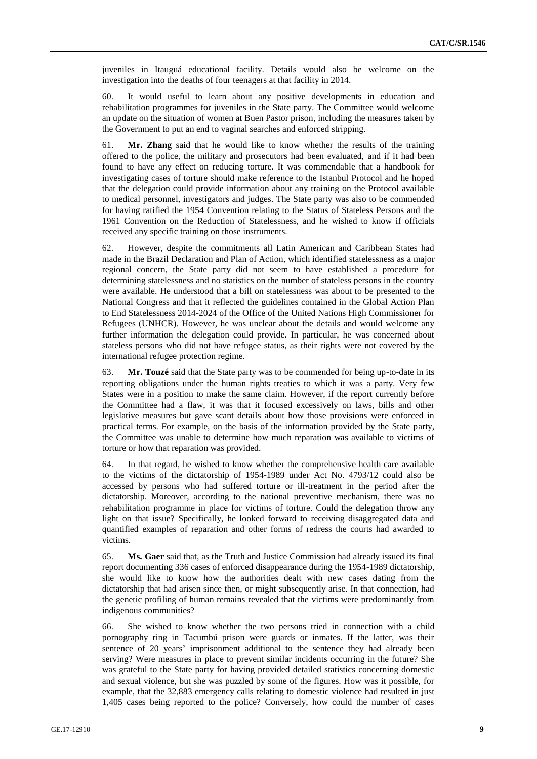juveniles in Itauguá educational facility. Details would also be welcome on the investigation into the deaths of four teenagers at that facility in 2014.

60. It would useful to learn about any positive developments in education and rehabilitation programmes for juveniles in the State party. The Committee would welcome an update on the situation of women at Buen Pastor prison, including the measures taken by the Government to put an end to vaginal searches and enforced stripping.

61. **Mr. Zhang** said that he would like to know whether the results of the training offered to the police, the military and prosecutors had been evaluated, and if it had been found to have any effect on reducing torture. It was commendable that a handbook for investigating cases of torture should make reference to the Istanbul Protocol and he hoped that the delegation could provide information about any training on the Protocol available to medical personnel, investigators and judges. The State party was also to be commended for having ratified the 1954 Convention relating to the Status of Stateless Persons and the 1961 Convention on the Reduction of Statelessness, and he wished to know if officials received any specific training on those instruments.

62. However, despite the commitments all Latin American and Caribbean States had made in the Brazil Declaration and Plan of Action, which identified statelessness as a major regional concern, the State party did not seem to have established a procedure for determining statelessness and no statistics on the number of stateless persons in the country were available. He understood that a bill on statelessness was about to be presented to the National Congress and that it reflected the guidelines contained in the Global Action Plan to End Statelessness 2014-2024 of the Office of the United Nations High Commissioner for Refugees (UNHCR). However, he was unclear about the details and would welcome any further information the delegation could provide. In particular, he was concerned about stateless persons who did not have refugee status, as their rights were not covered by the international refugee protection regime.

63. **Mr. Touzé** said that the State party was to be commended for being up-to-date in its reporting obligations under the human rights treaties to which it was a party. Very few States were in a position to make the same claim. However, if the report currently before the Committee had a flaw, it was that it focused excessively on laws, bills and other legislative measures but gave scant details about how those provisions were enforced in practical terms. For example, on the basis of the information provided by the State party, the Committee was unable to determine how much reparation was available to victims of torture or how that reparation was provided.

64. In that regard, he wished to know whether the comprehensive health care available to the victims of the dictatorship of 1954-1989 under Act No. 4793/12 could also be accessed by persons who had suffered torture or ill-treatment in the period after the dictatorship. Moreover, according to the national preventive mechanism, there was no rehabilitation programme in place for victims of torture. Could the delegation throw any light on that issue? Specifically, he looked forward to receiving disaggregated data and quantified examples of reparation and other forms of redress the courts had awarded to victims.

65. **Ms. Gaer** said that, as the Truth and Justice Commission had already issued its final report documenting 336 cases of enforced disappearance during the 1954-1989 dictatorship, she would like to know how the authorities dealt with new cases dating from the dictatorship that had arisen since then, or might subsequently arise. In that connection, had the genetic profiling of human remains revealed that the victims were predominantly from indigenous communities?

66. She wished to know whether the two persons tried in connection with a child pornography ring in Tacumbú prison were guards or inmates. If the latter, was their sentence of 20 years' imprisonment additional to the sentence they had already been serving? Were measures in place to prevent similar incidents occurring in the future? She was grateful to the State party for having provided detailed statistics concerning domestic and sexual violence, but she was puzzled by some of the figures. How was it possible, for example, that the 32,883 emergency calls relating to domestic violence had resulted in just 1,405 cases being reported to the police? Conversely, how could the number of cases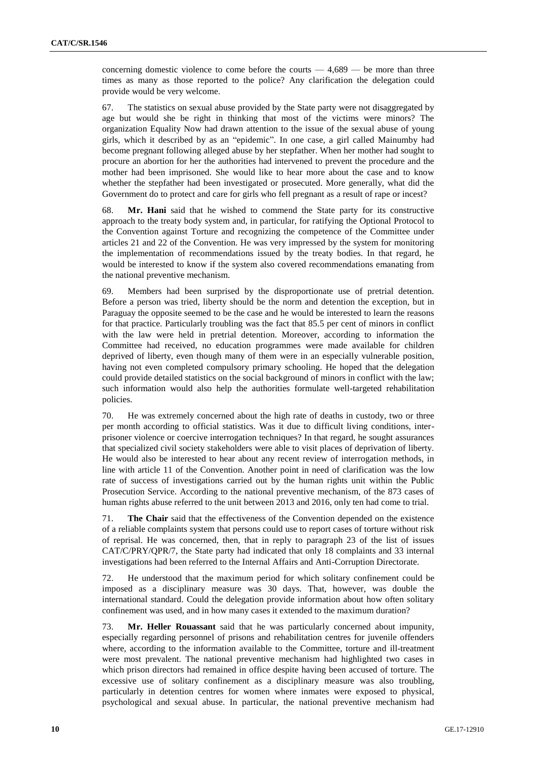concerning domestic violence to come before the courts  $-4,689$  — be more than three times as many as those reported to the police? Any clarification the delegation could provide would be very welcome.

67. The statistics on sexual abuse provided by the State party were not disaggregated by age but would she be right in thinking that most of the victims were minors? The organization Equality Now had drawn attention to the issue of the sexual abuse of young girls, which it described by as an "epidemic". In one case, a girl called Mainumby had become pregnant following alleged abuse by her stepfather. When her mother had sought to procure an abortion for her the authorities had intervened to prevent the procedure and the mother had been imprisoned. She would like to hear more about the case and to know whether the stepfather had been investigated or prosecuted. More generally, what did the Government do to protect and care for girls who fell pregnant as a result of rape or incest?

68. **Mr. Hani** said that he wished to commend the State party for its constructive approach to the treaty body system and, in particular, for ratifying the Optional Protocol to the Convention against Torture and recognizing the competence of the Committee under articles 21 and 22 of the Convention. He was very impressed by the system for monitoring the implementation of recommendations issued by the treaty bodies. In that regard, he would be interested to know if the system also covered recommendations emanating from the national preventive mechanism.

69. Members had been surprised by the disproportionate use of pretrial detention. Before a person was tried, liberty should be the norm and detention the exception, but in Paraguay the opposite seemed to be the case and he would be interested to learn the reasons for that practice. Particularly troubling was the fact that 85.5 per cent of minors in conflict with the law were held in pretrial detention. Moreover, according to information the Committee had received, no education programmes were made available for children deprived of liberty, even though many of them were in an especially vulnerable position, having not even completed compulsory primary schooling. He hoped that the delegation could provide detailed statistics on the social background of minors in conflict with the law; such information would also help the authorities formulate well-targeted rehabilitation policies.

70. He was extremely concerned about the high rate of deaths in custody, two or three per month according to official statistics. Was it due to difficult living conditions, interprisoner violence or coercive interrogation techniques? In that regard, he sought assurances that specialized civil society stakeholders were able to visit places of deprivation of liberty. He would also be interested to hear about any recent review of interrogation methods, in line with article 11 of the Convention. Another point in need of clarification was the low rate of success of investigations carried out by the human rights unit within the Public Prosecution Service. According to the national preventive mechanism, of the 873 cases of human rights abuse referred to the unit between 2013 and 2016, only ten had come to trial.

71. **The Chair** said that the effectiveness of the Convention depended on the existence of a reliable complaints system that persons could use to report cases of torture without risk of reprisal. He was concerned, then, that in reply to paragraph 23 of the list of issues CAT/C/PRY/QPR/7, the State party had indicated that only 18 complaints and 33 internal investigations had been referred to the Internal Affairs and Anti-Corruption Directorate.

72. He understood that the maximum period for which solitary confinement could be imposed as a disciplinary measure was 30 days. That, however, was double the international standard. Could the delegation provide information about how often solitary confinement was used, and in how many cases it extended to the maximum duration?

73. **Mr. Heller Rouassant** said that he was particularly concerned about impunity, especially regarding personnel of prisons and rehabilitation centres for juvenile offenders where, according to the information available to the Committee, torture and ill-treatment were most prevalent. The national preventive mechanism had highlighted two cases in which prison directors had remained in office despite having been accused of torture. The excessive use of solitary confinement as a disciplinary measure was also troubling, particularly in detention centres for women where inmates were exposed to physical, psychological and sexual abuse. In particular, the national preventive mechanism had